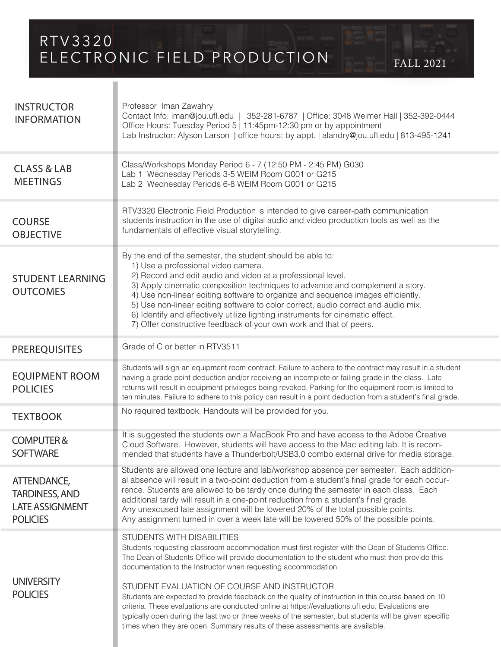RTV3320 ELECTRONIC FIELD PRODUCTION FALL 2021

**INSTRUCTOR** INFORMATION CLASS & LAB **MEETINGS** STUDENT LEARNING **OUTCOMES TEXTBOOK** Class/Workshops Monday Period 6 - 7 (12:50 PM - 2:45 PM) G030 Lab 1 Wednesday Periods 3-5 WEIM Room G001 or G215 Lab 2 Wednesday Periods 6-8 WEIM Room G001 or G215 COURSE OBJECTIVE RTV3320 Electronic Field Production is intended to give career-path communication students instruction in the use of digital audio and video production tools as well as the fundamentals of effective visual storytelling. No required textbook. Handouts will be provided for you. By the end of the semester, the student should be able to: 1) Use a professional video camera. 2) Record and edit audio and video at a professional level. 3) Apply cinematic composition techniques to advance and complement a story. 4) Use non-linear editing software to organize and sequence images efficiently. 5) Use non-linear editing software to color correct, audio correct and audio mix. 6) Identify and effectively utilize lighting instruments for cinematic effect. 7) Offer constructive feedback of your own work and that of peers. PREREQUISITES Grade of C or better in RTV3511 COMPUTER & **SOFTWARE** It is suggested the students own a MacBook Pro and have access to the Adobe Creative Cloud Software. However, students will have access to the Mac editing lab. It is recommended that students have a Thunderbolt/USB3.0 combo external drive for media storage. ATTENDANCE, TARDINESS, AND LATE ASSIGNMENT **POLICIES** Students are allowed one lecture and lab/workshop absence per semester. Each additional absence will result in a two-point deduction from a student's final grade for each occurrence. Students are allowed to be tardy once during the semester in each class. Each additional tardy will result in a one-point reduction from a student's final grade. Any unexcused late assignment will be lowered 20% of the total possible points. Any assignment turned in over a week late will be lowered 50% of the possible points. STUDENTS WITH DISABILITIES Students requesting classroom accommodation must first register with the Dean of Students Office. The Dean of Students Office will provide documentation to the student who must then provide this documentation to the Instructor when requesting accommodation. STUDENT EVALUATION OF COURSE AND INSTRUCTOR Students are expected to provide feedback on the quality of instruction in this course based on 10 criteria. These evaluations are conducted online at https://evaluations.ufl.edu. Evaluations are typically open during the last two or three weeks of the semester, but students will be given specific times when they are open. Summary results of these assessments are available. **UNIVERSITY** POLICIES Professor Iman Zawahry Contact Info: iman@jou.ufl.edu | 352-281-6787 | Office: 3048 Weimer Hall | 352-392-0444 Office Hours: Tuesday Period 5 | 11:45pm-12:30 pm or by appointment Lab Instructor: Alyson Larson | office hours: by appt. | alandry@jou.ufl.edu | 813-495-1241 EQUIPMENT ROOM POLICIES Students will sign an equipment room contract. Failure to adhere to the contract may result in a student having a grade point deduction and/or receiving an incomplete or failing grade in the class. Late returns will result in equipment privileges being revoked. Parking for the equipment room is limited to ten minutes. Failure to adhere to this policy can result in a point deduction from a student's final grade.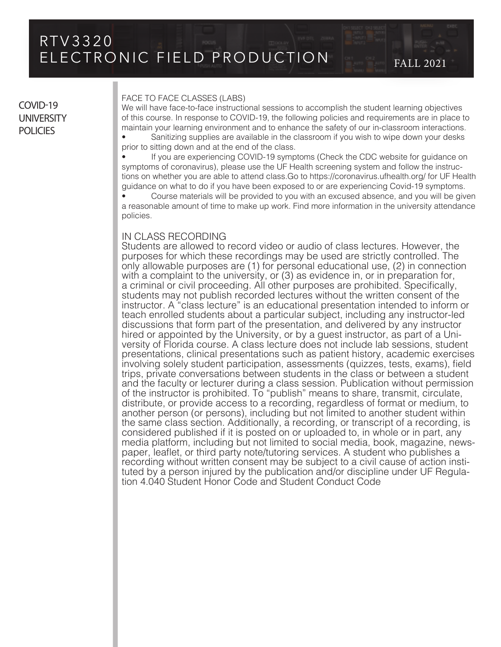## COVID-19 **UNIVERSITY POLICIES**

#### FACE TO FACE CLASSES (LABS)

We will have face-to-face instructional sessions to accomplish the student learning objectives of this course. In response to COVID-19, the following policies and requirements are in place to maintain your learning environment and to enhance the safety of our in-classroom interactions.

• Sanitizing supplies are available in the classroom if you wish to wipe down your desks prior to sitting down and at the end of the class.

• If you are experiencing COVID-19 symptoms (Check the CDC website for guidance on symptoms of coronavirus), please use the UF Health screening system and follow the instructions on whether you are able to attend class.Go to https://coronavirus.ufhealth.org/ for UF Health guidance on what to do if you have been exposed to or are experiencing Covid-19 symptoms.

• Course materials will be provided to you with an excused absence, and you will be given a reasonable amount of time to make up work. Find more information in the university attendance policies.

### IN CLASS RECORDING

Students are allowed to record video or audio of class lectures. However, the purposes for which these recordings may be used are strictly controlled. The only allowable purposes are (1) for personal educational use, (2) in connection with a complaint to the university, or (3) as evidence in, or in preparation for, a criminal or civil proceeding. All other purposes are prohibited. Specifically, students may not publish recorded lectures without the written consent of the instructor. A "class lecture" is an educational presentation intended to inform or teach enrolled students about a particular subject, including any instructor-led discussions that form part of the presentation, and delivered by any instructor hired or appointed by the University, or by a guest instructor, as part of a University of Florida course. A class lecture does not include lab sessions, student presentations, clinical presentations such as patient history, academic exercises involving solely student participation, assessments (quizzes, tests, exams), field trips, private conversations between students in the class or between a student and the faculty or lecturer during a class session. Publication without permission of the instructor is prohibited. To "publish" means to share, transmit, circulate, distribute, or provide access to a recording, regardless of format or medium, to another person (or persons), including but not limited to another student within the same class section. Additionally, a recording, or transcript of a recording, is considered published if it is posted on or uploaded to, in whole or in part, any media platform, including but not limited to social media, book, magazine, newspaper, leaflet, or third party note/tutoring services. A student who publishes a recording without written consent may be subject to a civil cause of action instituted by a person injured by the publication and/or discipline under UF Regulation 4.040 Student Honor Code and Student Conduct Code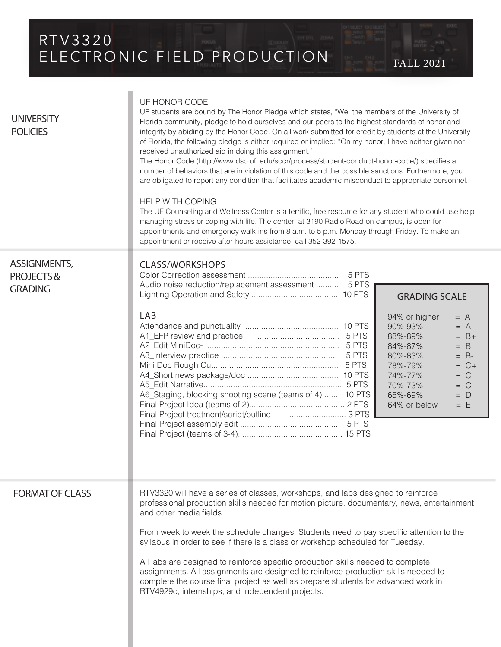# RTV3320 ELECTRONIC FIELD PRODUCTION FALL 2021

| <b>UNIVERSITY</b><br><b>POLICIES</b>                   | UF HONOR CODE<br>UF students are bound by The Honor Pledge which states, "We, the members of the University of<br>Florida community, pledge to hold ourselves and our peers to the highest standards of honor and<br>integrity by abiding by the Honor Code. On all work submitted for credit by students at the University<br>of Florida, the following pledge is either required or implied: "On my honor, I have neither given nor<br>received unauthorized aid in doing this assignment."<br>The Honor Code (http://www.dso.ufl.edu/sccr/process/student-conduct-honor-code/) specifies a<br>number of behaviors that are in violation of this code and the possible sanctions. Furthermore, you<br>are obligated to report any condition that facilitates academic misconduct to appropriate personnel.<br><b>HELP WITH COPING</b><br>The UF Counseling and Wellness Center is a terrific, free resource for any student who could use help<br>managing stress or coping with life. The center, at 3190 Radio Road on campus, is open for<br>appointments and emergency walk-ins from 8 a.m. to 5 p.m. Monday through Friday. To make an<br>appointment or receive after-hours assistance, call 352-392-1575. |  |  |
|--------------------------------------------------------|--------------------------------------------------------------------------------------------------------------------------------------------------------------------------------------------------------------------------------------------------------------------------------------------------------------------------------------------------------------------------------------------------------------------------------------------------------------------------------------------------------------------------------------------------------------------------------------------------------------------------------------------------------------------------------------------------------------------------------------------------------------------------------------------------------------------------------------------------------------------------------------------------------------------------------------------------------------------------------------------------------------------------------------------------------------------------------------------------------------------------------------------------------------------------------------------------------------------|--|--|
| ASSIGNMENTS,<br><b>PROJECTS&amp;</b><br><b>GRADING</b> | <b>CLASS/WORKSHOPS</b><br>Audio noise reduction/replacement assessment  5 PTS<br><b>GRADING SCALE</b><br>LAB<br>94% or higher<br>$= A$<br>90%-93%<br>$= A$ -<br>88%-89%<br>$= B+$<br>84%-87%<br>$=$ B<br>80%-83%<br>$= B$ -<br>78%-79%<br>$= C +$<br>74%-77%<br>$= C$<br>70%-73%<br>$= C$ -<br>A6_Staging, blocking shooting scene (teams of 4)  10 PTS<br>65%-69%<br>$= D$<br>64% or below<br>$= E$<br>Final Project treatment/script/outline                                                                                                                                                                                                                                                                                                                                                                                                                                                                                                                                                                                                                                                                                                                                                                     |  |  |
| <b>FORMAT OF CLASS</b>                                 | RTV3320 will have a series of classes, workshops, and labs designed to reinforce<br>professional production skills needed for motion picture, documentary, news, entertainment<br>and other media fields.<br>From week to week the schedule changes. Students need to pay specific attention to the<br>syllabus in order to see if there is a class or workshop scheduled for Tuesday.<br>All labs are designed to reinforce specific production skills needed to complete<br>assignments. All assignments are designed to reinforce production skills needed to<br>complete the course final project as well as prepare students for advanced work in<br>RTV4929c, internships, and independent projects.                                                                                                                                                                                                                                                                                                                                                                                                                                                                                                         |  |  |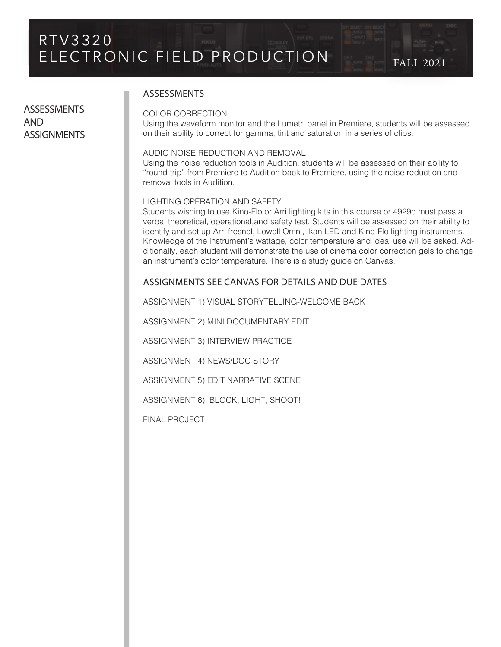**ASSESSMENTS** AND **ASSIGNMENTS** 

### ASSESSMENTS

#### COLOR CORRECTION

Using the waveform monitor and the Lumetri panel in Premiere, students will be assessed on their ability to correct for gamma, tint and saturation in a series of clips.

### AUDIO NOISE REDUCTION AND REMOVAL

Using the noise reduction tools in Audition, students will be assessed on their ability to "round trip" from Premiere to Audition back to Premiere, using the noise reduction and removal tools in Audition.

#### LIGHTING OPERATION AND SAFETY

Students wishing to use Kino-Flo or Arri lighting kits in this course or 4929c must pass a verbal theoretical, operational,and safety test. Students will be assessed on their ability to identify and set up Arri fresnel, Lowell Omni, Ikan LED and Kino-Flo lighting instruments. Knowledge of the instrument's wattage, color temperature and ideal use will be asked. Additionally, each student will demonstrate the use of cinema color correction gels to change an instrument's color temperature. There is a study guide on Canvas.

### ASSIGNMENTS SEE CANVAS FOR DETAILS AND DUE DATES

ASSIGNMENT 1) VISUAL STORYTELLING-WELCOME BACK

ASSIGNMENT 2) MINI DOCUMENTARY EDIT

ASSIGNMENT 3) INTERVIEW PRACTICE

ASSIGNMENT 4) NEWS/DOC STORY

ASSIGNMENT 5) EDIT NARRATIVE SCENE

ASSIGNMENT 6) BLOCK, LIGHT, SHOOT!

FINAL PROJECT